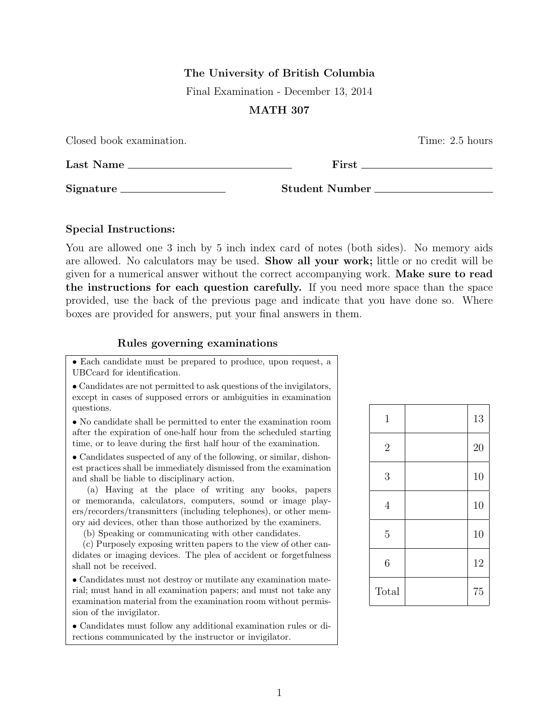# The University of British Columbia

Final Examination - December 13, 2014

# MATH 307

Closed book examination. Time: 2.5 hours Last Name First Signature Student Number

## Special Instructions:

You are allowed one 3 inch by 5 inch index card of notes (both sides). No memory aids are allowed. No calculators may be used. Show all your work; little or no credit will be given for a numerical answer without the correct accompanying work. Make sure to read the instructions for each question carefully. If you need more space than the space provided, use the back of the previous page and indicate that you have done so. Where boxes are provided for answers, put your final answers in them.

### Rules governing examinations

• Each candidate must be prepared to produce, upon request, a UBCcard for identification.

• Candidates are not permitted to ask questions of the invigilators, except in cases of supposed errors or ambiguities in examination questions.

• No candidate shall be permitted to enter the examination room after the expiration of one-half hour from the scheduled starting time, or to leave during the first half hour of the examination.

• Candidates suspected of any of the following, or similar, dishonest practices shall be immediately dismissed from the examination and shall be liable to disciplinary action.

(a) Having at the place of writing any books, papers or memoranda, calculators, computers, sound or image players/recorders/transmitters (including telephones), or other memory aid devices, other than those authorized by the examiners.

(b) Speaking or communicating with other candidates.

(c) Purposely exposing written papers to the view of other candidates or imaging devices. The plea of accident or forgetfulness shall not be received.

• Candidates must not destroy or mutilate any examination material; must hand in all examination papers; and must not take any examination material from the examination room without permission of the invigilator.

• Candidates must follow any additional examination rules or directions communicated by the instructor or invigilator.

| $\,1$          | 13 |
|----------------|----|
| $\overline{2}$ | 20 |
| 3              | 10 |
| $\overline{4}$ | 10 |
| $\overline{5}$ | 10 |
| 6              | 12 |
| Total          | 75 |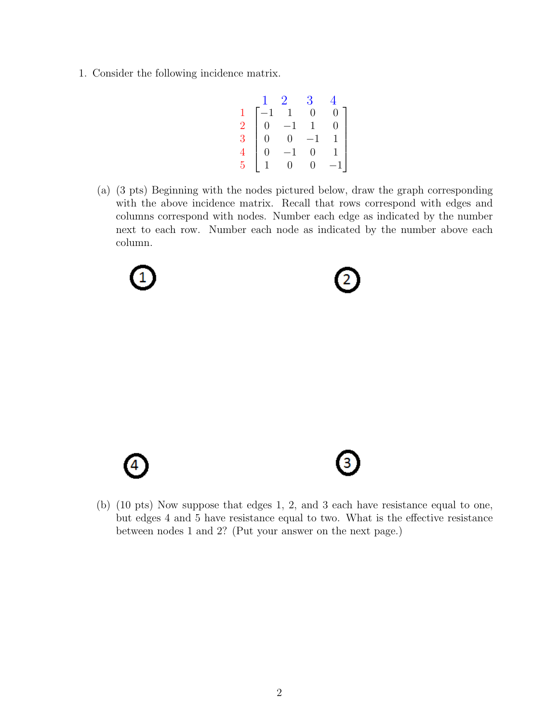1. Consider the following incidence matrix.

$$
\begin{bmatrix} & 1 & 2 & 3 & 4 \\ 1 & -1 & 1 & 0 & 0 \\ 2 & 0 & -1 & 1 & 0 \\ 3 & 0 & 0 & -1 & 1 \\ 4 & 0 & -1 & 0 & 1 \\ 5 & 1 & 0 & 0 & -1 \end{bmatrix}
$$

(a) (3 pts) Beginning with the nodes pictured below, draw the graph corresponding with the above incidence matrix. Recall that rows correspond with edges and columns correspond with nodes. Number each edge as indicated by the number next to each row. Number each node as indicated by the number above each column.







(b) (10 pts) Now suppose that edges 1, 2, and 3 each have resistance equal to one, but edges 4 and 5 have resistance equal to two. What is the effective resistance between nodes 1 and 2? (Put your answer on the next page.)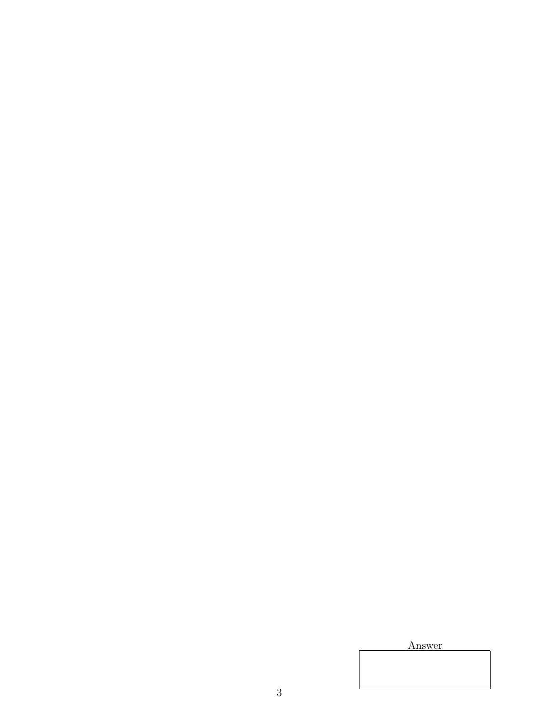Answer

3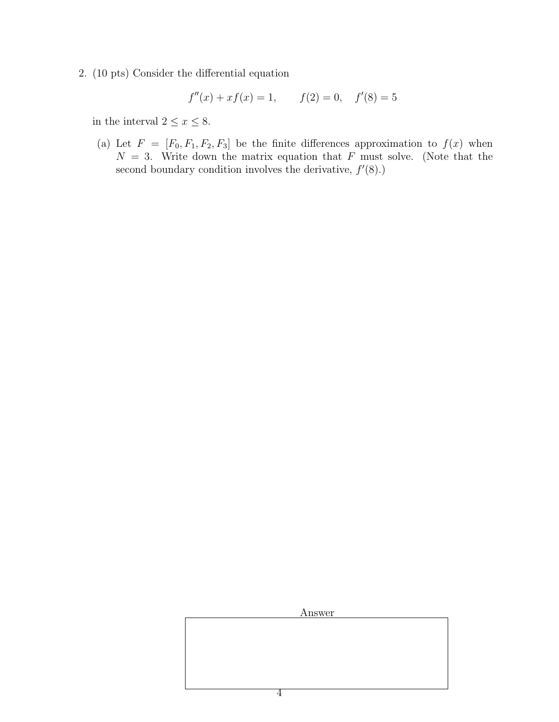2. (10 pts) Consider the differential equation

$$
f''(x) + xf(x) = 1,
$$
  $f(2) = 0,$   $f'(8) = 5$ 

in the interval  $2 \leq x \leq 8$ .

(a) Let  $F = [F_0, F_1, F_2, F_3]$  be the finite differences approximation to  $f(x)$  when  $N = 3$ . Write down the matrix equation that F must solve. (Note that the second boundary condition involves the derivative,  $f'(8)$ .)

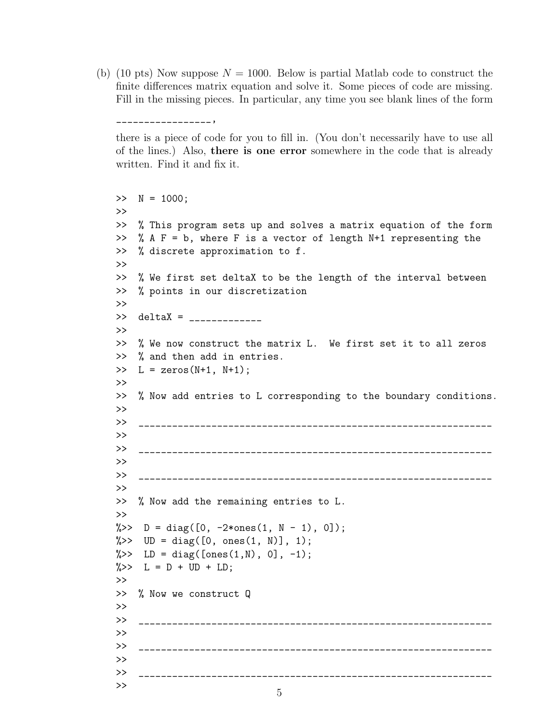(b) (10 pts) Now suppose  $N = 1000$ . Below is partial Matlab code to construct the finite differences matrix equation and solve it. Some pieces of code are missing. Fill in the missing pieces. In particular, any time you see blank lines of the form

\_\_\_\_\_\_\_\_\_\_\_\_\_\_\_\_\_,

there is a piece of code for you to fill in. (You don't necessarily have to use all of the lines.) Also, there is one error somewhere in the code that is already written. Find it and fix it.

```
>> N = 1000;
>>
>> % This program sets up and solves a matrix equation of the form
>> % A F = b, where F is a vector of length N+1 representing the
>> % discrete approximation to f.
>>
>> % We first set deltaX to be the length of the interval between
>> % points in our discretization
>>
>> deltaX = _____________
>>
>> % We now construct the matrix L. We first set it to all zeros
>> % and then add in entries.
\geq L = zeros(N+1, N+1);
>>
>> % Now add entries to L corresponding to the boundary conditions.
>>
>> _______________________________________________________________
>>
>>>
>> _______________________________________________________________
>>
>> % Now add the remaining entries to L.
>>
\frac{1}{2} > D = diag([0, -2*ones(1, N - 1), 0]);
\frac{1}{2} >> UD = diag([0, ones(1, N)], 1);
\frac{1}{2} > LD = diag([ones(1,N), 0], -1);
\frac{9}{2} >> L = D + UD + LD;
>>
>> % Now we construct Q
>>
>> _______________________________________________________________
>>
>> _______________________________________________________________
>>
>> _______________________________________________________________
>>
                            5
```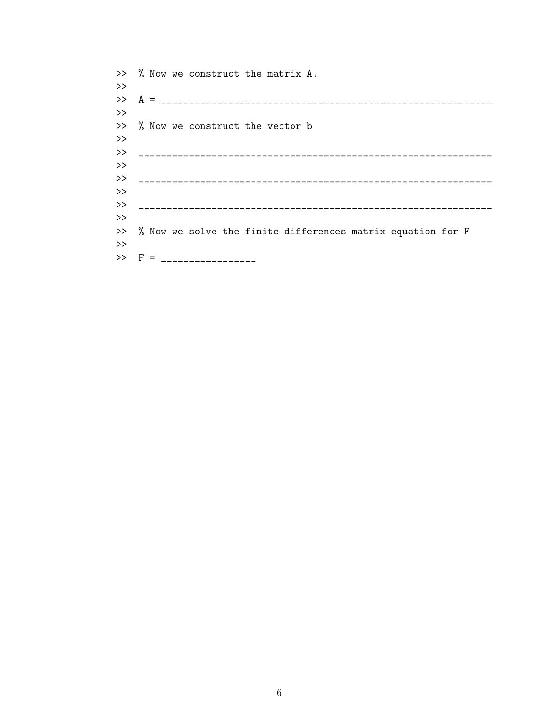>> % Now we construct the matrix A.  $\boldsymbol{>>}$  $\rightarrow$ >> % Now we construct the vector b  $\rightarrow$  $\rightarrow$  $\rightarrow$  $\rightarrow$ >> % Now we solve the finite differences matrix equation for F  $\rightarrow$  $>>$  F = \_\_\_\_\_\_\_\_\_\_\_\_\_\_\_\_\_\_\_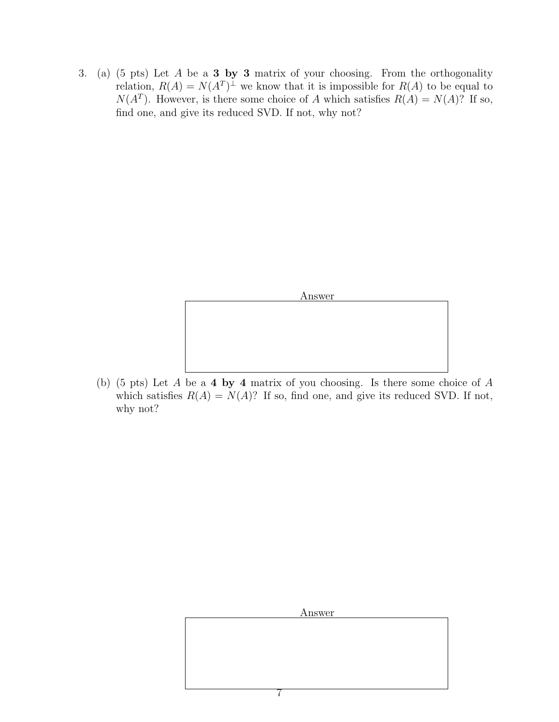3. (a) (5 pts) Let  $A$  be a **3 by 3** matrix of your choosing. From the orthogonality relation,  $R(A) = N(A^T)^{\perp}$  we know that it is impossible for  $R(A)$  to be equal to  $N(A^T)$ . However, is there some choice of A which satisfies  $R(A) = N(A)$ ? If so, find one, and give its reduced SVD. If not, why not?



(b) (5 pts) Let A be a 4 by 4 matrix of you choosing. Is there some choice of A which satisfies  $R(A) = N(A)$ ? If so, find one, and give its reduced SVD. If not, why not?

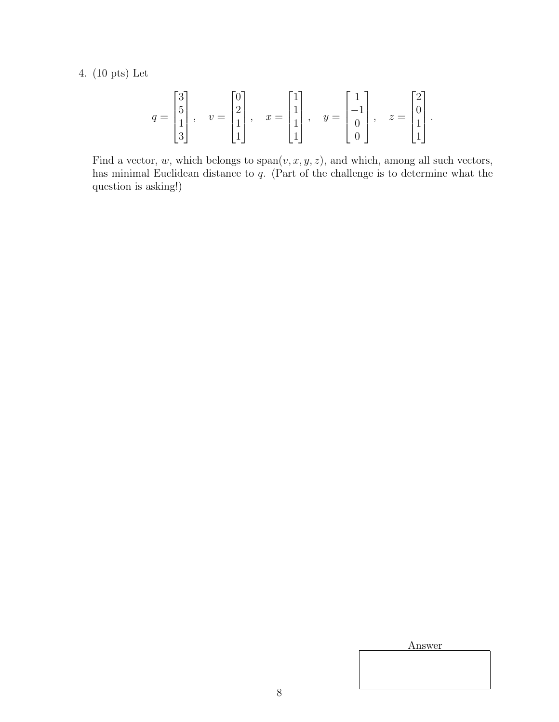4. (10 pts) Let

$$
q = \begin{bmatrix} 3 \\ 5 \\ 1 \\ 3 \end{bmatrix}, \quad v = \begin{bmatrix} 0 \\ 2 \\ 1 \\ 1 \end{bmatrix}, \quad x = \begin{bmatrix} 1 \\ 1 \\ 1 \\ 1 \end{bmatrix}, \quad y = \begin{bmatrix} 1 \\ -1 \\ 0 \\ 0 \end{bmatrix}, \quad z = \begin{bmatrix} 2 \\ 0 \\ 1 \\ 1 \end{bmatrix}
$$

Find a vector, w, which belongs to  $\text{span}(v, x, y, z)$ , and which, among all such vectors, has minimal Euclidean distance to q. (Part of the challenge is to determine what the question is asking!)

Answer

.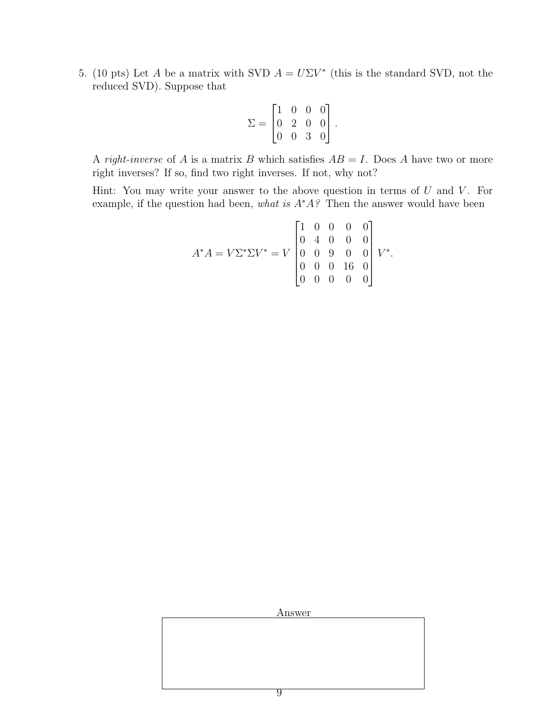5. (10 pts) Let A be a matrix with SVD  $A = U\Sigma V^*$  (this is the standard SVD, not the reduced SVD). Suppose that

$$
\Sigma = \begin{bmatrix} 1 & 0 & 0 & 0 \\ 0 & 2 & 0 & 0 \\ 0 & 0 & 3 & 0 \end{bmatrix}.
$$

A right-inverse of A is a matrix B which satisfies  $AB = I$ . Does A have two or more right inverses? If so, find two right inverses. If not, why not?

Hint: You may write your answer to the above question in terms of  $U$  and  $V$ . For example, if the question had been, what is  $A^*A$ ? Then the answer would have been

$$
A^*A = V\Sigma^*\Sigma V^* = V \begin{bmatrix} 1 & 0 & 0 & 0 & 0 \\ 0 & 4 & 0 & 0 & 0 \\ 0 & 0 & 9 & 0 & 0 \\ 0 & 0 & 0 & 16 & 0 \\ 0 & 0 & 0 & 0 & 0 \end{bmatrix} V^*.
$$

Answer